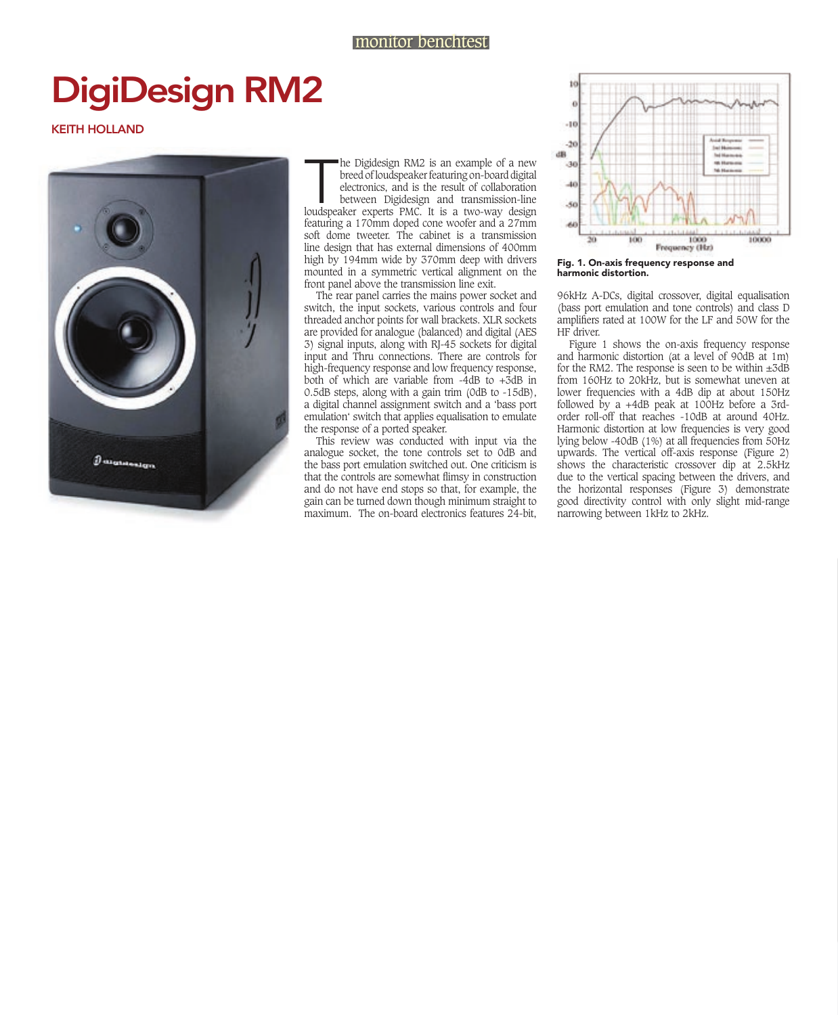## monitor benchtest

## DigiDesign RM2

## KEITH HOLLAND



T<br>Toudspea he Digidesign RM2 is an example of a new breed of loudspeaker featuring on-board digital electronics, and is the result of collaboration between Digidesign and transmission-line loudspeaker experts PMC. It is a two-way design featuring a 170mm doped cone woofer and a 27mm soft dome tweeter. The cabinet is a transmission line design that has external dimensions of 400mm high by 194mm wide by 370mm deep with drivers mounted in a symmetric vertical alignment on the front panel above the transmission line exit.

The rear panel carries the mains power socket and switch, the input sockets, various controls and four threaded anchor points for wall brackets. XLR sockets are provided for analogue (balanced) and digital (AES 3) signal inputs, along with RJ-45 sockets for digital input and Thru connections. There are controls for high-frequency response and low frequency response, both of which are variable from  $-4dB$  to  $+3dB$  in 0.5dB steps, along with a gain trim (0dB to -15dB), a digital channel assignment switch and a 'bass port emulation' switch that applies equalisation to emulate the response of a ported speaker.

This review was conducted with input via the analogue socket, the tone controls set to 0dB and the bass port emulation switched out. One criticism is that the controls are somewhat flimsy in construction and do not have end stops so that, for example, the gain can be turned down though minimum straight to maximum. The on-board electronics features 24-bit,



Fig. 1. on-axis frequency response and harmonic distortion.

96kHz A-DCs, digital crossover, digital equalisation (bass port emulation and tone controls) and class D amplifiers rated at 100W for the LF and 50W for the HF driver.

Figure 1 shows the on-axis frequency response and harmonic distortion (at a level of 90dB at 1m) for the RM2. The response is seen to be within  $\pm 3\text{dB}$ from 160Hz to 20kHz, but is somewhat uneven at lower frequencies with a 4dB dip at about 150Hz followed by a +4dB peak at 100Hz before a 3rdorder roll-off that reaches -10dB at around 40Hz. Harmonic distortion at low frequencies is very good lying below -40dB (1%) at all frequencies from 50Hz upwards. The vertical off-axis response (Figure 2) shows the characteristic crossover dip at 2.5kHz due to the vertical spacing between the drivers, and the horizontal responses (Figure 3) demonstrate good directivity control with only slight mid-range narrowing between 1kHz to 2kHz.